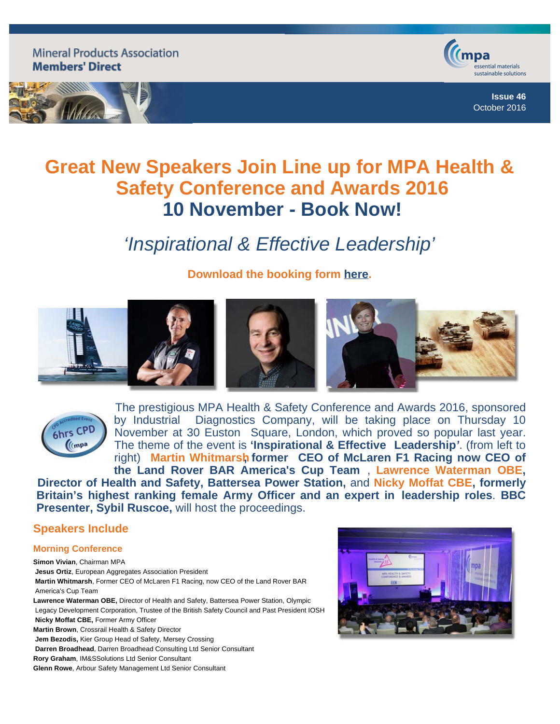**Mineral Products Association Members' Direct** 





**Issue 46** October 2016

# **Great New Speakers Join Line up for MPA Health & Safety Conference and Awards 2016 10 November - Book Now!**

# *'Inspirational & Effective Leadership'*

**Download the booking form [here](http://www.mineralproducts.org/documents/HS_2016_Booking_form.doc).**





The prestigious MPA Health & Safety Conference and Awards 2016, sponsored by Industrial Diagnostics Company, will be taking place on Thursday 10 November at 30 Euston Square, London, which proved so popular last year. The theme of the event is **'Inspirational & Effective Leadership***'*. (from left to right) **Martin Whitmarsh, former CEO of McLaren F1 Racing now CEO of the Land Rover BAR America's Cup Team** , **Lawrence Waterman OBE, Director of Health and Safety, Battersea Power Station,** and **Nicky Moffat CBE, formerly**

 **Britain's highest ranking female Army Officer and an expert in leadership roles**. **BBC Presenter, Sybil Ruscoe,** will host the proceedings.

## **Speakers Include**

### **Morning Conference**

**Simon Vivian**, Chairman MPA **Jesus Ortiz**, European Aggregates Association President **Martin Whitmarsh**, Former CEO of McLaren F1 Racing, now CEO of the Land Rover BAR America's Cup Team **Lawrence Waterman OBE,** Director of Health and Safety, Battersea Power Station, Olympic Legacy Development Corporation, Trustee of the British Safety Council and Past President IOSH **Nicky Moffat CBE,** Former Army Officer **Martin Brown**, Crossrail Health & Safety Director **Jem Bezodis,** Kier Group Head of Safety, Mersey Crossing **Darren Broadhead**, Darren Broadhead Consulting Ltd Senior Consultant **Rory Graham**, IM&SSolutions Ltd Senior Consultant

**Glenn Rowe**, Arbour Safety Management Ltd Senior Consultant